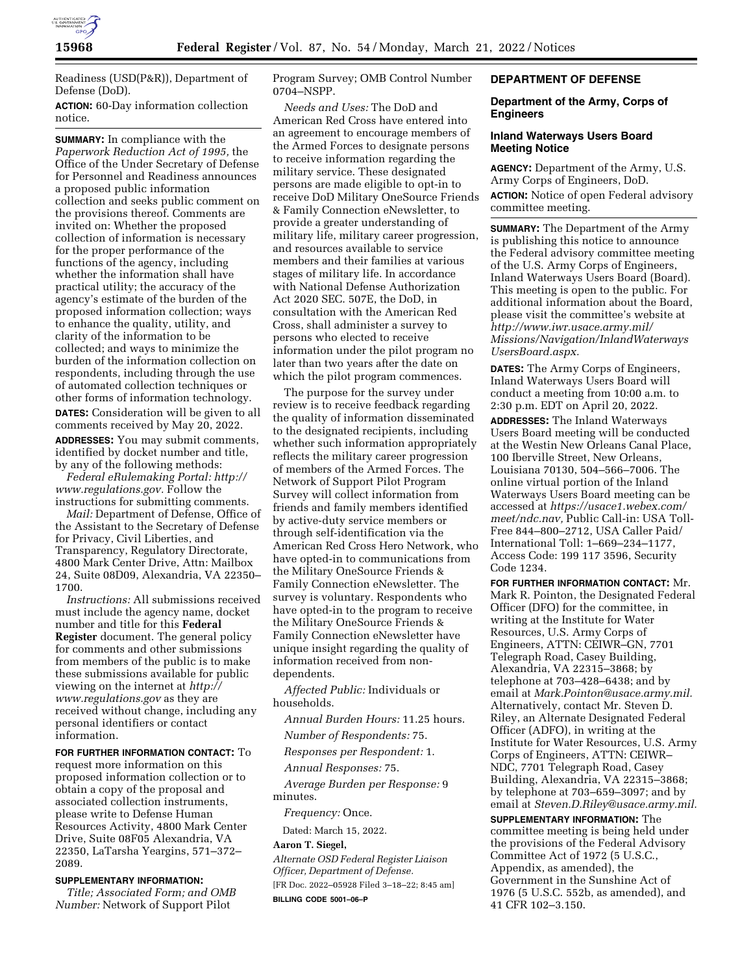

Readiness (USD(P&R)), Department of Defense (DoD).

**ACTION:** 60-Day information collection notice.

**SUMMARY:** In compliance with the *Paperwork Reduction Act of 1995,* the Office of the Under Secretary of Defense for Personnel and Readiness announces a proposed public information collection and seeks public comment on the provisions thereof. Comments are invited on: Whether the proposed collection of information is necessary for the proper performance of the functions of the agency, including whether the information shall have practical utility; the accuracy of the agency's estimate of the burden of the proposed information collection; ways to enhance the quality, utility, and clarity of the information to be collected; and ways to minimize the burden of the information collection on respondents, including through the use of automated collection techniques or other forms of information technology. **DATES:** Consideration will be given to all comments received by May 20, 2022. **ADDRESSES:** You may submit comments, identified by docket number and title, by any of the following methods:

*Federal eRulemaking Portal: [http://](http://www.regulations.gov) [www.regulations.gov.](http://www.regulations.gov)* Follow the instructions for submitting comments.

*Mail:* Department of Defense, Office of the Assistant to the Secretary of Defense for Privacy, Civil Liberties, and Transparency, Regulatory Directorate, 4800 Mark Center Drive, Attn: Mailbox 24, Suite 08D09, Alexandria, VA 22350– 1700.

*Instructions:* All submissions received must include the agency name, docket number and title for this **Federal Register** document. The general policy for comments and other submissions from members of the public is to make these submissions available for public viewing on the internet at *[http://](http://www.regulations.gov) [www.regulations.gov](http://www.regulations.gov)* as they are received without change, including any personal identifiers or contact information.

#### **FOR FURTHER INFORMATION CONTACT:** To

request more information on this proposed information collection or to obtain a copy of the proposal and associated collection instruments, please write to Defense Human Resources Activity, 4800 Mark Center Drive, Suite 08F05 Alexandria, VA 22350, LaTarsha Yeargins, 571–372– 2089.

## **SUPPLEMENTARY INFORMATION:**

*Title; Associated Form; and OMB Number:* Network of Support Pilot

Program Survey; OMB Control Number 0704–NSPP.

*Needs and Uses:* The DoD and American Red Cross have entered into an agreement to encourage members of the Armed Forces to designate persons to receive information regarding the military service. These designated persons are made eligible to opt-in to receive DoD Military OneSource Friends & Family Connection eNewsletter, to provide a greater understanding of military life, military career progression, and resources available to service members and their families at various stages of military life. In accordance with National Defense Authorization Act 2020 SEC. 507E, the DoD, in consultation with the American Red Cross, shall administer a survey to persons who elected to receive information under the pilot program no later than two years after the date on which the pilot program commences.

The purpose for the survey under review is to receive feedback regarding the quality of information disseminated to the designated recipients, including whether such information appropriately reflects the military career progression of members of the Armed Forces. The Network of Support Pilot Program Survey will collect information from friends and family members identified by active-duty service members or through self-identification via the American Red Cross Hero Network, who have opted-in to communications from the Military OneSource Friends & Family Connection eNewsletter. The survey is voluntary. Respondents who have opted-in to the program to receive the Military OneSource Friends & Family Connection eNewsletter have unique insight regarding the quality of information received from nondependents.

*Affected Public:* Individuals or households.

*Annual Burden Hours:* 11.25 hours.

*Number of Respondents:* 75.

*Responses per Respondent:* 1.

*Annual Responses:* 75.

*Average Burden per Response:* 9 minutes.

*Frequency:* Once.

Dated: March 15, 2022.

#### **Aaron T. Siegel,**

*Alternate OSD Federal Register Liaison Officer, Department of Defense.*  [FR Doc. 2022–05928 Filed 3–18–22; 8:45 am] **BILLING CODE 5001–06–P** 

# **DEPARTMENT OF DEFENSE**

## **Department of the Army, Corps of Engineers**

## **Inland Waterways Users Board Meeting Notice**

**AGENCY:** Department of the Army, U.S. Army Corps of Engineers, DoD. **ACTION:** Notice of open Federal advisory committee meeting.

**SUMMARY:** The Department of the Army is publishing this notice to announce the Federal advisory committee meeting of the U.S. Army Corps of Engineers, Inland Waterways Users Board (Board). This meeting is open to the public. For additional information about the Board, please visit the committee's website at *[http://www.iwr.usace.army.mil/](http://www.iwr.usace.army.mil/Missions/Navigation/InlandWaterwaysUsersBoard.aspx) [Missions/Navigation/InlandWaterways](http://www.iwr.usace.army.mil/Missions/Navigation/InlandWaterwaysUsersBoard.aspx) [UsersBoard.aspx.](http://www.iwr.usace.army.mil/Missions/Navigation/InlandWaterwaysUsersBoard.aspx)* 

**DATES:** The Army Corps of Engineers, Inland Waterways Users Board will conduct a meeting from 10:00 a.m. to 2:30 p.m. EDT on April 20, 2022.

**ADDRESSES:** The Inland Waterways Users Board meeting will be conducted at the Westin New Orleans Canal Place, 100 Iberville Street, New Orleans, Louisiana 70130, 504–566–7006. The online virtual portion of the Inland Waterways Users Board meeting can be accessed at *[https://usace1.webex.com/](https://usace1.webex.com/meet/ndc.nav) [meet/ndc.nav,](https://usace1.webex.com/meet/ndc.nav)* Public Call-in: USA Toll-Free 844–800–2712, USA Caller Paid/ International Toll: 1–669–234–1177, Access Code: 199 117 3596, Security Code 1234.

**FOR FURTHER INFORMATION CONTACT:** Mr. Mark R. Pointon, the Designated Federal Officer (DFO) for the committee, in writing at the Institute for Water Resources, U.S. Army Corps of Engineers, ATTN: CEIWR–GN, 7701 Telegraph Road, Casey Building, Alexandria, VA 22315–3868; by telephone at 703–428–6438; and by email at *[Mark.Pointon@usace.army.mil.](mailto:Mark.Pointon@usace.army.mil)*  Alternatively, contact Mr. Steven D. Riley, an Alternate Designated Federal Officer (ADFO), in writing at the Institute for Water Resources, U.S. Army Corps of Engineers, ATTN: CEIWR– NDC, 7701 Telegraph Road, Casey Building, Alexandria, VA 22315–3868; by telephone at 703–659–3097; and by email at *[Steven.D.Riley@usace.army.mil.](mailto:Steven.D.Riley@usace.army.mil)* 

**SUPPLEMENTARY INFORMATION:** The committee meeting is being held under the provisions of the Federal Advisory Committee Act of 1972 (5 U.S.C., Appendix, as amended), the Government in the Sunshine Act of 1976 (5 U.S.C. 552b, as amended), and 41 CFR 102–3.150.